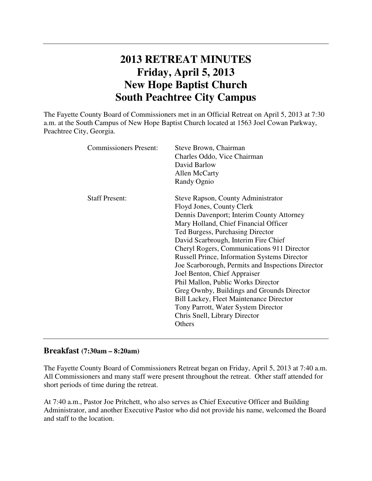# **2013 RETREAT MINUTES Friday, April 5, 2013 New Hope Baptist Church South Peachtree City Campus**

The Fayette County Board of Commissioners met in an Official Retreat on April 5, 2013 at 7:30 a.m. at the South Campus of New Hope Baptist Church located at 1563 Joel Cowan Parkway, Peachtree City, Georgia.

| <b>Commissioners Present:</b> | Steve Brown, Chairman<br>Charles Oddo, Vice Chairman<br>David Barlow<br>Allen McCarty<br>Randy Ognio                                                                                                                                                                                                                                                                                                                                                                                                                                                                                                                                                |
|-------------------------------|-----------------------------------------------------------------------------------------------------------------------------------------------------------------------------------------------------------------------------------------------------------------------------------------------------------------------------------------------------------------------------------------------------------------------------------------------------------------------------------------------------------------------------------------------------------------------------------------------------------------------------------------------------|
| <b>Staff Present:</b>         | Steve Rapson, County Administrator<br>Floyd Jones, County Clerk<br>Dennis Davenport; Interim County Attorney<br>Mary Holland, Chief Financial Officer<br>Ted Burgess, Purchasing Director<br>David Scarbrough, Interim Fire Chief<br>Cheryl Rogers, Communications 911 Director<br><b>Russell Prince, Information Systems Director</b><br>Joe Scarborough, Permits and Inspections Director<br>Joel Benton, Chief Appraiser<br>Phil Mallon, Public Works Director<br>Greg Ownby, Buildings and Grounds Director<br><b>Bill Lackey, Fleet Maintenance Director</b><br>Tony Parrott, Water System Director<br>Chris Snell, Library Director<br>Others |

# **Breakfast (7:30am – 8:20am)**

The Fayette County Board of Commissioners Retreat began on Friday, April 5, 2013 at 7:40 a.m. All Commissioners and many staff were present throughout the retreat. Other staff attended for short periods of time during the retreat.

At 7:40 a.m., Pastor Joe Pritchett, who also serves as Chief Executive Officer and Building Administrator, and another Executive Pastor who did not provide his name, welcomed the Board and staff to the location.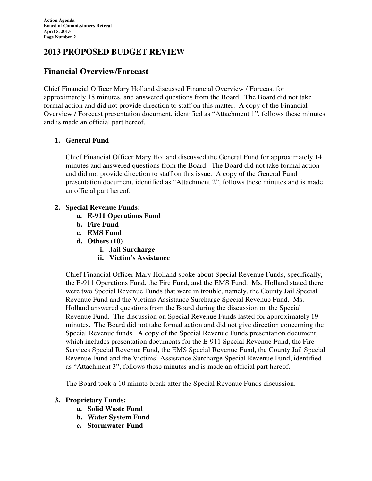# **2013 PROPOSED BUDGET REVIEW**

# **Financial Overview/Forecast**

Chief Financial Officer Mary Holland discussed Financial Overview / Forecast for approximately 18 minutes, and answered questions from the Board. The Board did not take formal action and did not provide direction to staff on this matter. A copy of the Financial Overview / Forecast presentation document, identified as "Attachment 1", follows these minutes and is made an official part hereof.

## **1. General Fund**

Chief Financial Officer Mary Holland discussed the General Fund for approximately 14 minutes and answered questions from the Board. The Board did not take formal action and did not provide direction to staff on this issue. A copy of the General Fund presentation document, identified as "Attachment 2", follows these minutes and is made an official part hereof.

## **2. Special Revenue Funds:**

- **a. E-911 Operations Fund**
- **b. Fire Fund**
- **c. EMS Fund**
- **d. Others (10)** 
	- **i. Jail Surcharge**
	- **ii. Victim's Assistance**

Chief Financial Officer Mary Holland spoke about Special Revenue Funds, specifically, the E-911 Operations Fund, the Fire Fund, and the EMS Fund. Ms. Holland stated there were two Special Revenue Funds that were in trouble, namely, the County Jail Special Revenue Fund and the Victims Assistance Surcharge Special Revenue Fund. Ms. Holland answered questions from the Board during the discussion on the Special Revenue Fund. The discussion on Special Revenue Funds lasted for approximately 19 minutes. The Board did not take formal action and did not give direction concerning the Special Revenue funds. A copy of the Special Revenue Funds presentation document, which includes presentation documents for the E-911 Special Revenue Fund, the Fire Services Special Revenue Fund, the EMS Special Revenue Fund, the County Jail Special Revenue Fund and the Victims' Assistance Surcharge Special Revenue Fund, identified as "Attachment 3", follows these minutes and is made an official part hereof.

The Board took a 10 minute break after the Special Revenue Funds discussion.

## **3. Proprietary Funds:**

- **a. Solid Waste Fund**
- **b. Water System Fund**
- **c. Stormwater Fund**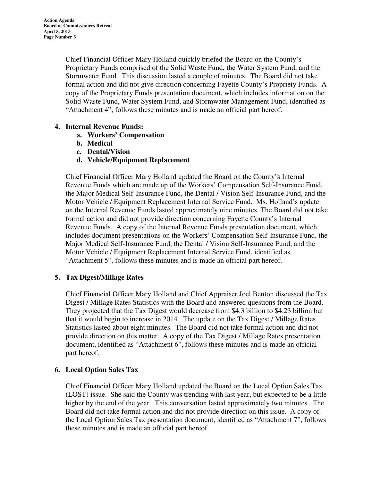Chief Financial Officer Mary Holland quickly briefed the Board on the County's Proprietary Funds comprised of the Solid Waste Fund, the Water System Fund, and the Stormwater Fund. This discussion lasted a couple of minutes. The Board did not take formal action and did not give direction concerning Fayette County's Propriety Funds. A copy of the Proprietary Funds presentation document, which includes information on the Solid Waste Fund, Water System Fund, and Stormwater Management Fund, identified as "Attachment 4", follows these minutes and is made an official part hereof.

## **4. Internal Revenue Funds:**

- **a. Workers' Compensation**
- **b. Medical**
- **c. Dental/Vision**
- **d. Vehicle/Equipment Replacement**

Chief Financial Officer Mary Holland updated the Board on the County's Internal Revenue Funds which are made up of the Workers' Compensation Self-Insurance Fund, the Major Medical Self-Insurance Fund, the Dental / Vision Self-Insurance Fund, and the Motor Vehicle / Equipment Replacement Internal Service Fund. Ms. Holland's update on the Internal Revenue Funds lasted approximately nine minutes. The Board did not take formal action and did not provide direction concerning Fayette County's Internal Revenue Funds. A copy of the Internal Revenue Funds presentation document, which includes document presentations on the Workers' Compensation Self-Insurance Fund, the Major Medical Self-Insurance Fund, the Dental / Vision Self-Insurance Fund, and the Motor Vehicle / Equipment Replacement Internal Service Fund, identified as "Attachment 5", follows these minutes and is made an official part hereof.

## **5. Tax Digest/Millage Rates**

Chief Financial Officer Mary Holland and Chief Appraiser Joel Benton discussed the Tax Digest / Millage Rates Statistics with the Board and answered questions from the Board. They projected that the Tax Digest would decrease from \$4.3 billion to \$4.23 billion but that it would begin to increase in 2014. The update on the Tax Digest / Millage Rates Statistics lasted about eight minutes. The Board did not take formal action and did not provide direction on this matter. A copy of the Tax Digest / Millage Rates presentation document, identified as "Attachment 6", follows these minutes and is made an official part hereof.

### **6. Local Option Sales Tax**

Chief Financial Officer Mary Holland updated the Board on the Local Option Sales Tax (LOST) issue. She said the County was trending with last year, but expected to be a little higher by the end of the year. This conversation lasted approximately two minutes. The Board did not take formal action and did not provide direction on this issue. A copy of the Local Option Sales Tax presentation document, identified as "Attachment 7", follows these minutes and is made an official part hereof.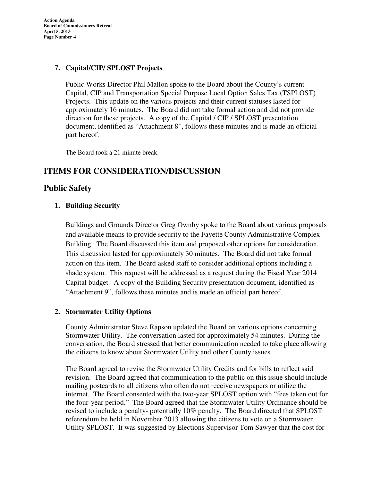**Action Agenda Board of Commissioners Retreat April 5, 2013 Page Number 4** 

### **7. Capital/CIP/ SPLOST Projects**

Public Works Director Phil Mallon spoke to the Board about the County's current Capital, CIP and Transportation Special Purpose Local Option Sales Tax (TSPLOST) Projects. This update on the various projects and their current statuses lasted for approximately 16 minutes. The Board did not take formal action and did not provide direction for these projects. A copy of the Capital / CIP / SPLOST presentation document, identified as "Attachment 8", follows these minutes and is made an official part hereof.

The Board took a 21 minute break.

# **ITEMS FOR CONSIDERATION/DISCUSSION**

## **Public Safety**

## **1. Building Security**

Buildings and Grounds Director Greg Ownby spoke to the Board about various proposals and available means to provide security to the Fayette County Administrative Complex Building. The Board discussed this item and proposed other options for consideration. This discussion lasted for approximately 30 minutes. The Board did not take formal action on this item. The Board asked staff to consider additional options including a shade system. This request will be addressed as a request during the Fiscal Year 2014 Capital budget. A copy of the Building Security presentation document, identified as "Attachment 9", follows these minutes and is made an official part hereof.

### **2. Stormwater Utility Options**

County Administrator Steve Rapson updated the Board on various options concerning Stormwater Utility. The conversation lasted for approximately 54 minutes. During the conversation, the Board stressed that better communication needed to take place allowing the citizens to know about Stormwater Utility and other County issues.

The Board agreed to revise the Stormwater Utility Credits and for bills to reflect said revision. The Board agreed that communication to the public on this issue should include mailing postcards to all citizens who often do not receive newspapers or utilize the internet. The Board consented with the two-year SPLOST option with "fees taken out for the four-year period." The Board agreed that the Stormwater Utility Ordinance should be revised to include a penalty- potentially 10% penalty. The Board directed that SPLOST referendum be held in November 2013 allowing the citizens to vote on a Stormwater Utility SPLOST. It was suggested by Elections Supervisor Tom Sawyer that the cost for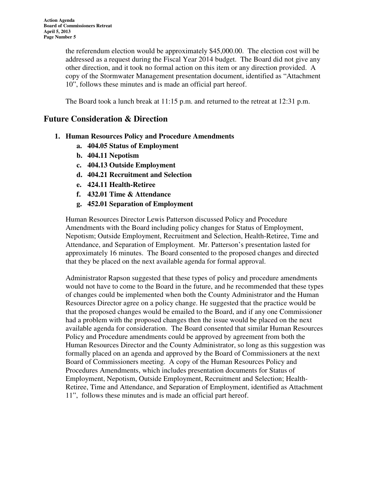the referendum election would be approximately \$45,000.00. The election cost will be addressed as a request during the Fiscal Year 2014 budget. The Board did not give any other direction, and it took no formal action on this item or any direction provided. A copy of the Stormwater Management presentation document, identified as "Attachment 10", follows these minutes and is made an official part hereof.

The Board took a lunch break at 11:15 p.m. and returned to the retreat at 12:31 p.m.

# **Future Consideration & Direction**

- **1. Human Resources Policy and Procedure Amendments** 
	- **a. 404.05 Status of Employment**
	- **b. 404.11 Nepotism**
	- **c. 404.13 Outside Employment**
	- **d. 404.21 Recruitment and Selection**
	- **e. 424.11 Health-Retiree**
	- **f. 432.01 Time & Attendance**
	- **g. 452.01 Separation of Employment**

Human Resources Director Lewis Patterson discussed Policy and Procedure Amendments with the Board including policy changes for Status of Employment, Nepotism; Outside Employment, Recruitment and Selection, Health-Retiree, Time and Attendance, and Separation of Employment. Mr. Patterson's presentation lasted for approximately 16 minutes. The Board consented to the proposed changes and directed that they be placed on the next available agenda for formal approval.

Administrator Rapson suggested that these types of policy and procedure amendments would not have to come to the Board in the future, and he recommended that these types of changes could be implemented when both the County Administrator and the Human Resources Director agree on a policy change. He suggested that the practice would be that the proposed changes would be emailed to the Board, and if any one Commissioner had a problem with the proposed changes then the issue would be placed on the next available agenda for consideration. The Board consented that similar Human Resources Policy and Procedure amendments could be approved by agreement from both the Human Resources Director and the County Administrator, so long as this suggestion was formally placed on an agenda and approved by the Board of Commissioners at the next Board of Commissioners meeting. A copy of the Human Resources Policy and Procedures Amendments, which includes presentation documents for Status of Employment, Nepotism, Outside Employment, Recruitment and Selection; Health-Retiree, Time and Attendance, and Separation of Employment, identified as Attachment 11", follows these minutes and is made an official part hereof.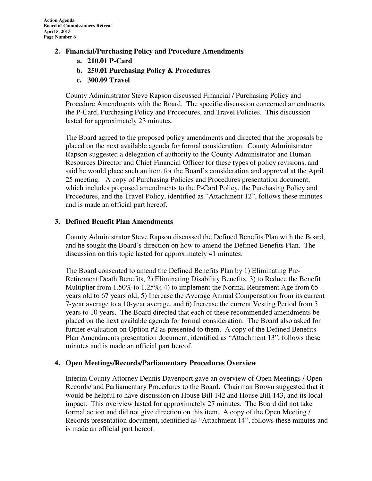- **2. Financial/Purchasing Policy and Procedure Amendments** 
	- **a. 210.01 P-Card**
	- **b. 250.01 Purchasing Policy & Procedures**
	- **c. 300.09 Travel**

County Administrator Steve Rapson discussed Financial / Purchasing Policy and Procedure Amendments with the Board. The specific discussion concerned amendments the P-Card, Purchasing Policy and Procedures, and Travel Policies. This discussion lasted for approximately 23 minutes.

The Board agreed to the proposed policy amendments and directed that the proposals be placed on the next available agenda for formal consideration. County Administrator Rapson suggested a delegation of authority to the County Administrator and Human Resources Director and Chief Financial Officer for these types of policy revisions, and said he would place such an item for the Board's consideration and approval at the April 25 meeting. A copy of Purchasing Policies and Procedures presentation document, which includes proposed amendments to the P-Card Policy, the Purchasing Policy and Procedures, and the Travel Policy, identified as "Attachment 12", follows these minutes and is made an official part hereof.

## **3. Defined Benefit Plan Amendments**

County Administrator Steve Rapson discussed the Defined Benefits Plan with the Board, and he sought the Board's direction on how to amend the Defined Benefits Plan. The discussion on this topic lasted for approximately 41 minutes.

The Board consented to amend the Defined Benefits Plan by 1) Eliminating Pre-Retirement Death Benefits, 2) Eliminating Disability Benefits, 3) to Reduce the Benefit Multiplier from 1.50% to 1.25%; 4) to implement the Normal Retirement Age from 65 years old to 67 years old; 5) Increase the Average Annual Compensation from its current 7-year average to a 10-year average, and 6) Increase the current Vesting Period from 5 years to 10 years. The Board directed that each of these recommended amendments be placed on the next available agenda for formal consideration. The Board also asked for further evaluation on Option #2 as presented to them. A copy of the Defined Benefits Plan Amendments presentation document, identified as "Attachment 13", follows these minutes and is made an official part hereof.

### **4. Open Meetings/Records/Parliamentary Procedures Overview**

Interim County Attorney Dennis Davenport gave an overview of Open Meetings / Open Records/ and Parliamentary Procedures to the Board. Chairman Brown suggested that it would be helpful to have discussion on House Bill 142 and House Bill 143, and its local impact. This overview lasted for approximately 27 minutes. The Board did not take formal action and did not give direction on this item. A copy of the Open Meeting / Records presentation document, identified as "Attachment 14", follows these minutes and is made an official part hereof.